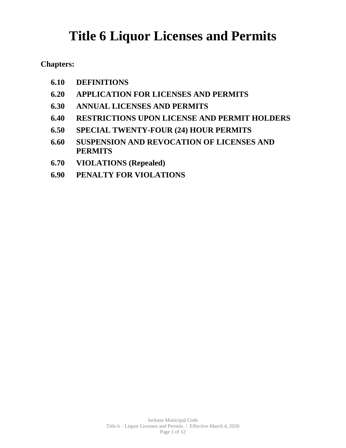# **Title 6 Liquor Licenses and Permits**

**Chapters:**

- **6.10 DEFINITIONS**
- **6.20 APPLICATION FOR LICENSES AND PERMITS**
- **6.30 ANNUAL LICENSES AND PERMITS**
- **6.40 RESTRICTIONS UPON LICENSE AND PERMIT HOLDERS**
- **6.50 SPECIAL TWENTY-FOUR (24) HOUR PERMITS**
- **6.60 SUSPENSION AND REVOCATION OF LICENSES AND PERMITS**
- **6.70 VIOLATIONS (Repealed)**
- **6.90 PENALTY FOR VIOLATIONS**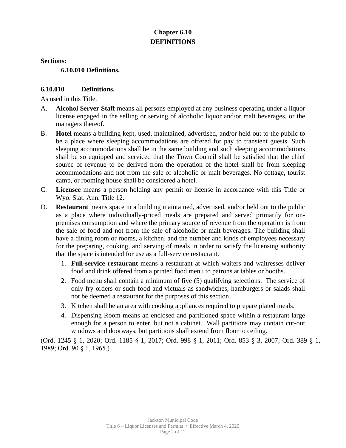# **Chapter 6.10 DEFINITIONS**

**Sections:**

**6.10.010 Definitions.**

## **6.10.010 Definitions.**

As used in this Title.

- A. **Alcohol Server Staff** means all persons employed at any business operating under a liquor license engaged in the selling or serving of alcoholic liquor and/or malt beverages, or the managers thereof.
- B. **Hotel** means a building kept, used, maintained, advertised, and/or held out to the public to be a place where sleeping accommodations are offered for pay to transient guests. Such sleeping accommodations shall be in the same building and such sleeping accommodations shall be so equipped and serviced that the Town Council shall be satisfied that the chief source of revenue to be derived from the operation of the hotel shall be from sleeping accommodations and not from the sale of alcoholic or malt beverages. No cottage, tourist camp, or rooming house shall be considered a hotel.
- C. **Licensee** means a person holding any permit or license in accordance with this Title or Wyo. Stat. Ann. Title 12.
- D. **Restaurant** means space in a building maintained, advertised, and/or held out to the public as a place where individually-priced meals are prepared and served primarily for onpremises consumption and where the primary source of revenue from the operation is from the sale of food and not from the sale of alcoholic or malt beverages. The building shall have a dining room or rooms, a kitchen, and the number and kinds of employees necessary for the preparing, cooking, and serving of meals in order to satisfy the licensing authority that the space is intended for use as a full-service restaurant.
	- 1. **Full-service restaurant** means a restaurant at which waiters and waitresses deliver food and drink offered from a printed food menu to patrons at tables or booths.
	- 2. Food menu shall contain a minimum of five (5) qualifying selections. The service of only fry orders or such food and victuals as sandwiches, hamburgers or salads shall not be deemed a restaurant for the purposes of this section.
	- 3. Kitchen shall be an area with cooking appliances required to prepare plated meals.
	- 4. Dispensing Room means an enclosed and partitioned space within a restaurant large enough for a person to enter, but not a cabinet. Wall partitions may contain cut-out windows and doorways, but partitions shall extend from floor to ceiling.

(Ord. 1245 § 1, 2020; Ord. 1185 § 1, 2017; Ord. 998 § 1, 2011; Ord. 853 § 3, 2007; Ord. 389 § 1, 1989; Ord. 90 § 1, 1965.)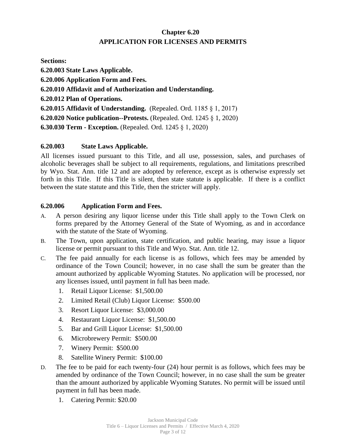# **Chapter 6.20 APPLICATION FOR LICENSES AND PERMITS**

**Sections:**

**6.20.003 State Laws Applicable. 6.20.006 Application Form and Fees. 6.20.010 Affidavit and of Authorization and Understanding. 6.20.012 Plan of Operations. 6.20.015 Affidavit of Understanding.** (Repealed. Ord. 1185 § 1, 2017) **6.20.020 Notice publication--Protests.** (Repealed. Ord. 1245 § 1, 2020) **6.30.030 Term - Exception.** (Repealed. Ord. 1245 § 1, 2020)

## **6.20.003 State Laws Applicable.**

All licenses issued pursuant to this Title, and all use, possession, sales, and purchases of alcoholic beverages shall be subject to all requirements, regulations, and limitations prescribed by Wyo. Stat. Ann. title 12 and are adopted by reference, except as is otherwise expressly set forth in this Title. If this Title is silent, then state statute is applicable. If there is a conflict between the state statute and this Title, then the stricter will apply.

## **6.20.006 Application Form and Fees.**

- A. A person desiring any liquor license under this Title shall apply to the Town Clerk on forms prepared by the Attorney General of the State of Wyoming, as and in accordance with the statute of the State of Wyoming.
- B. The Town, upon application, state certification, and public hearing, may issue a liquor license or permit pursuant to this Title and Wyo. Stat. Ann. title 12.
- C. The fee paid annually for each license is as follows, which fees may be amended by ordinance of the Town Council; however, in no case shall the sum be greater than the amount authorized by applicable Wyoming Statutes. No application will be processed, nor any licenses issued, until payment in full has been made.
	- 1. Retail Liquor License: \$1,500.00
	- 2. Limited Retail (Club) Liquor License: \$500.00
	- 3. Resort Liquor License: \$3,000.00
	- 4. Restaurant Liquor License: \$1,500.00
	- 5. Bar and Grill Liquor License: \$1,500.00
	- 6. Microbrewery Permit: \$500.00
	- 7. Winery Permit: \$500.00
	- 8. Satellite Winery Permit: \$100.00
- D. The fee to be paid for each twenty-four (24) hour permit is as follows, which fees may be amended by ordinance of the Town Council; however, in no case shall the sum be greater than the amount authorized by applicable Wyoming Statutes. No permit will be issued until payment in full has been made.
	- 1. Catering Permit: \$20.00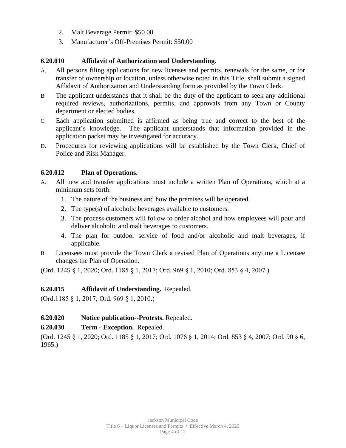- 2. Malt Beverage Permit: \$50.00
- 3. Manufacturer's Off-Premises Permit: \$50.00

## **6.20.010 Affidavit of Authorization and Understanding.**

- A. All persons filing applications for new licenses and permits, renewals for the same, or for transfer of ownership or location, unless otherwise noted in this Title, shall submit a signed Affidavit of Authorization and Understanding form as provided by the Town Clerk.
- B. The applicant understands that it shall be the duty of the applicant to seek any additional required reviews, authorizations, permits, and approvals from any Town or County department or elected bodies.
- C. Each application submitted is affirmed as being true and correct to the best of the applicant's knowledge. The applicant understands that information provided in the application packet may be investigated for accuracy.
- D. Procedures for reviewing applications will be established by the Town Clerk, Chief of Police and Risk Manager.

#### **6.20.012 Plan of Operations.**

- A. All new and transfer applications must include a written Plan of Operations, which at a minimum sets forth:
	- 1. The nature of the business and how the premises will be operated.
	- 2. The type(s) of alcoholic beverages available to customers.
	- 3. The process customers will follow to order alcohol and how employees will pour and deliver alcoholic and malt beverages to customers.
	- 4. The plan for outdoor service of food and/or alcoholic and malt beverages, if applicable.
- B. Licensees must provide the Town Clerk a revised Plan of Operations anytime a Licensee changes the Plan of Operation.

(Ord. 1245 § 1, 2020; Ord. 1185 § 1, 2017; Ord. 969 § 1, 2010; Ord. 853 § 4, 2007.)

## **6.20.015 Affidavit of Understanding.** Repealed.

(Ord.1185 § 1, 2017; Ord. 969 § 1, 2010.)

- **6.20.020 Notice publication--Protests.** Repealed.
- **6.20.030 Term Exception.** Repealed.

(Ord. 1245 § 1, 2020; Ord. 1185 § 1, 2017; Ord. 1076 § 1, 2014; Ord. 853 § 4, 2007; Ord. 90 § 6, 1965.)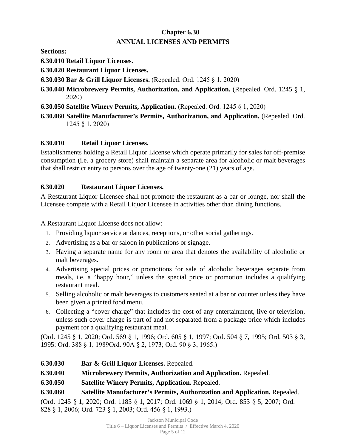# **Chapter 6.30 ANNUAL LICENSES AND PERMITS**

**Sections:**

**6.30.010 Retail Liquor Licenses.**

**6.30.020 Restaurant Liquor Licenses.**

**6.30.030 Bar & Grill Liquor Licenses.** (Repealed. Ord. 1245 § 1, 2020)

- **6.30.040 Microbrewery Permits, Authorization, and Application.** (Repealed. Ord. 1245 § 1, 2020)
- **6.30.050 Satellite Winery Permits, Application.** (Repealed. Ord. 1245 § 1, 2020)
- **6.30.060 Satellite Manufacturer's Permits, Authorization, and Application.** (Repealed. Ord. 1245 § 1, 2020)

# **6.30.010 Retail Liquor Licenses.**

Establishments holding a Retail Liquor License which operate primarily for sales for off-premise consumption (i.e. a grocery store) shall maintain a separate area for alcoholic or malt beverages that shall restrict entry to persons over the age of twenty-one (21) years of age.

# **6.30.020 Restaurant Liquor Licenses.**

A Restaurant Liquor Licensee shall not promote the restaurant as a bar or lounge, nor shall the Licensee compete with a Retail Liquor Licensee in activities other than dining functions.

A Restaurant Liquor License does not allow:

- 1. Providing liquor service at dances, receptions, or other social gatherings.
- 2. Advertising as a bar or saloon in publications or signage.
- 3. Having a separate name for any room or area that denotes the availability of alcoholic or malt beverages.
- 4. Advertising special prices or promotions for sale of alcoholic beverages separate from meals, i.e. a "happy hour," unless the special price or promotion includes a qualifying restaurant meal.
- 5. Selling alcoholic or malt beverages to customers seated at a bar or counter unless they have been given a printed food menu.
- 6. Collecting a "cover charge" that includes the cost of any entertainment, live or television, unless such cover charge is part of and not separated from a package price which includes payment for a qualifying restaurant meal.

(Ord. 1245 § 1, 2020; Ord. 569 § 1, 1996; Ord. 605 § 1, 1997; Ord. 504 § 7, 1995; Ord. 503 § 3, 1995: Ord. 388 § 1, 1989Ord. 90A § 2, 1973; Ord. 90 § 3, 1965.)

- **6.30.030 Bar & Grill Liquor Licenses.** Repealed.
- **6.30.040 Microbrewery Permits, Authorization and Application.** Repealed.
- **6.30.050 Satellite Winery Permits, Application.** Repealed.
- **6.30.060 Satellite Manufacturer's Permits, Authorization and Application.** Repealed.

(Ord. 1245 § 1, 2020; Ord. 1185 § 1, 2017; Ord. 1069 § 1, 2014; Ord. 853 § 5, 2007; Ord. 828 § 1, 2006; Ord. 723 § 1, 2003; Ord. 456 § 1, 1993.)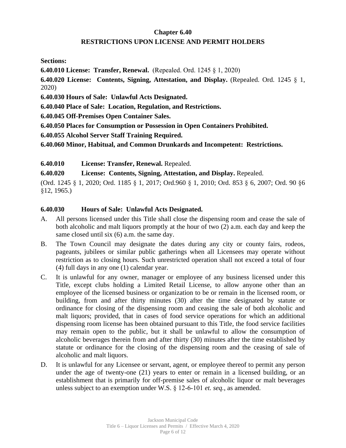# **Chapter 6.40 RESTRICTIONS UPON LICENSE AND PERMIT HOLDERS**

**Sections:**

**6.40.010 License: Transfer, Renewal.** (Repealed. Ord. 1245 § 1, 2020)

**6.40.020 License: Contents, Signing, Attestation, and Display.** (Repealed. Ord. 1245 § 1, 2020)

**6.40.030 Hours of Sale: Unlawful Acts Designated.**

**6.40.040 Place of Sale: Location, Regulation, and Restrictions.**

**6.40.045 Off-Premises Open Container Sales.**

**6.40.050 Places for Consumption or Possession in Open Containers Prohibited.**

**6.40.055 Alcohol Server Staff Training Required.**

**6.40.060 Minor, Habitual, and Common Drunkards and Incompetent: Restrictions.**

**6.40.010 License: Transfer, Renewal.** Repealed.

**6.40.020 License: Contents, Signing, Attestation, and Display.** Repealed.

(Ord. 1245 § 1, 2020; Ord. 1185 § 1, 2017; Ord.960 § 1, 2010; Ord. 853 § 6, 2007; Ord. 90 §6 §12, 1965.)

#### **6.40.030 Hours of Sale: Unlawful Acts Designated.**

- A. All persons licensed under this Title shall close the dispensing room and cease the sale of both alcoholic and malt liquors promptly at the hour of two (2) a.m. each day and keep the same closed until six (6) a.m. the same day.
- B. The Town Council may designate the dates during any city or county fairs, rodeos, pageants, jubilees or similar public gatherings when all Licensees may operate without restriction as to closing hours. Such unrestricted operation shall not exceed a total of four (4) full days in any one (1) calendar year.
- C. It is unlawful for any owner, manager or employee of any business licensed under this Title, except clubs holding a Limited Retail License, to allow anyone other than an employee of the licensed business or organization to be or remain in the licensed room, or building, from and after thirty minutes (30) after the time designated by statute or ordinance for closing of the dispensing room and ceasing the sale of both alcoholic and malt liquors; provided, that in cases of food service operations for which an additional dispensing room license has been obtained pursuant to this Title, the food service facilities may remain open to the public, but it shall be unlawful to allow the consumption of alcoholic beverages therein from and after thirty (30) minutes after the time established by statute or ordinance for the closing of the dispensing room and the ceasing of sale of alcoholic and malt liquors.
- D. It is unlawful for any Licensee or servant, agent, or employee thereof to permit any person under the age of twenty-one (21) years to enter or remain in a licensed building, or an establishment that is primarily for off-premise sales of alcoholic liquor or malt beverages unless subject to an exemption under W.S. § 12-6-101 *et. seq.*, as amended.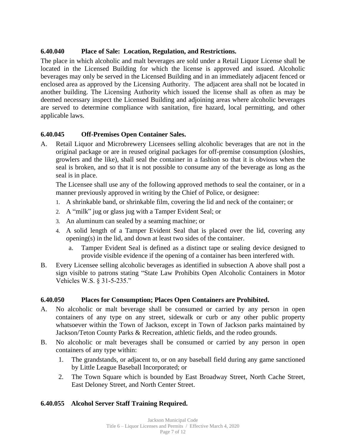## **6.40.040 Place of Sale: Location, Regulation, and Restrictions.**

The place in which alcoholic and malt beverages are sold under a Retail Liquor License shall be located in the Licensed Building for which the license is approved and issued. Alcoholic beverages may only be served in the Licensed Building and in an immediately adjacent fenced or enclosed area as approved by the Licensing Authority. The adjacent area shall not be located in another building. The Licensing Authority which issued the license shall as often as may be deemed necessary inspect the Licensed Building and adjoining areas where alcoholic beverages are served to determine compliance with sanitation, fire hazard, local permitting, and other applicable laws.

## **6.40.045 Off-Premises Open Container Sales.**

A. Retail Liquor and Microbrewery Licensees selling alcoholic beverages that are not in the original package or are in reused original packages for off-premise consumption (sloshies, growlers and the like), shall seal the container in a fashion so that it is obvious when the seal is broken, and so that it is not possible to consume any of the beverage as long as the seal is in place.

The Licensee shall use any of the following approved methods to seal the container, or in a manner previously approved in writing by the Chief of Police, or designee:

- 1. A shrinkable band, or shrinkable film, covering the lid and neck of the container; or
- 2. A "milk" jug or glass jug with a Tamper Evident Seal; or
- 3. An aluminum can sealed by a seaming machine; or
- 4. A solid length of a Tamper Evident Seal that is placed over the lid, covering any opening(s) in the lid, and down at least two sides of the container.
	- a. Tamper Evident Seal is defined as a distinct tape or sealing device designed to provide visible evidence if the opening of a container has been interfered with.
- B. Every Licensee selling alcoholic beverages as identified in subsection A above shall post a sign visible to patrons stating "State Law Prohibits Open Alcoholic Containers in Motor Vehicles W.S. § 31-5-235."

#### **6.40.050 Places for Consumption; Places Open Containers are Prohibited.**

- A. No alcoholic or malt beverage shall be consumed or carried by any person in open containers of any type on any street, sidewalk or curb or any other public property whatsoever within the Town of Jackson, except in Town of Jackson parks maintained by Jackson/Teton County Parks & Recreation, athletic fields, and the rodeo grounds.
- B. No alcoholic or malt beverages shall be consumed or carried by any person in open containers of any type within:
	- 1. The grandstands, or adjacent to, or on any baseball field during any game sanctioned by Little League Baseball Incorporated; or
	- 2. The Town Square which is bounded by East Broadway Street, North Cache Street, East Deloney Street, and North Center Street.

#### **6.40.055 Alcohol Server Staff Training Required.**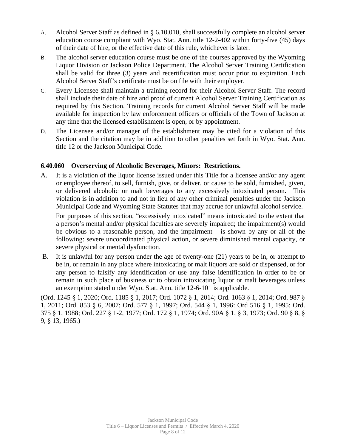- A. Alcohol Server Staff as defined in § 6.10.010, shall successfully complete an alcohol server education course compliant with Wyo. Stat. Ann. title 12-2-402 within forty-five (45) days of their date of hire, or the effective date of this rule, whichever is later.
- B. The alcohol server education course must be one of the courses approved by the Wyoming Liquor Division or Jackson Police Department. The Alcohol Server Training Certification shall be valid for three (3) years and recertification must occur prior to expiration. Each Alcohol Server Staff's certificate must be on file with their employer.
- C. Every Licensee shall maintain a training record for their Alcohol Server Staff. The record shall include their date of hire and proof of current Alcohol Server Training Certification as required by this Section. Training records for current Alcohol Server Staff will be made available for inspection by law enforcement officers or officials of the Town of Jackson at any time that the licensed establishment is open, or by appointment.
- D. The Licensee and/or manager of the establishment may be cited for a violation of this Section and the citation may be in addition to other penalties set forth in Wyo. Stat. Ann. title 12 or the Jackson Municipal Code.

## **6.40.060 Overserving of Alcoholic Beverages, Minors: Restrictions.**

A. It is a violation of the liquor license issued under this Title for a licensee and/or any agent or employee thereof, to sell, furnish, give, or deliver, or cause to be sold, furnished, given, or delivered alcoholic or malt beverages to any excessively intoxicated person. This violation is in addition to and not in lieu of any other criminal penalties under the Jackson Municipal Code and Wyoming State Statutes that may accrue for unlawful alcohol service.

For purposes of this section, "excessively intoxicated" means intoxicated to the extent that a person's mental and/or physical faculties are severely impaired; the impairment(s) would be obvious to a reasonable person, and the impairment is shown by any or all of the following: severe uncoordinated physical action, or severe diminished mental capacity, or severe physical or mental dysfunction.

B. It is unlawful for any person under the age of twenty-one (21) years to be in, or attempt to be in, or remain in any place where intoxicating or malt liquors are sold or dispensed, or for any person to falsify any identification or use any false identification in order to be or remain in such place of business or to obtain intoxicating liquor or malt beverages unless an exemption stated under Wyo. Stat. Ann. title 12-6-101 is applicable.

(Ord. 1245 § 1, 2020; Ord. 1185 § 1, 2017; Ord. 1072 § 1, 2014; Ord. 1063 § 1, 2014; Ord. 987 § 1, 2011; Ord. 853 § 6, 2007; Ord. 577 § 1, 1997; Ord. 544 § 1, 1996: Ord 516 § 1, 1995; Ord. 375 § 1, 1988; Ord. 227 § 1-2, 1977; Ord. 172 § 1, 1974; Ord. 90A § 1, § 3, 1973; Ord. 90 § 8, § 9, § 13, 1965.)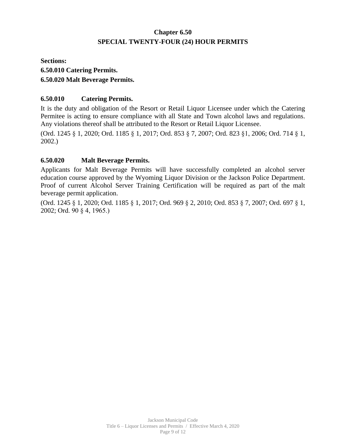# **Chapter 6.50 SPECIAL TWENTY-FOUR (24) HOUR PERMITS**

# **Sections: 6.50.010 Catering Permits. 6.50.020 Malt Beverage Permits.**

## **6.50.010 Catering Permits.**

It is the duty and obligation of the Resort or Retail Liquor Licensee under which the Catering Permitee is acting to ensure compliance with all State and Town alcohol laws and regulations. Any violations thereof shall be attributed to the Resort or Retail Liquor Licensee.

(Ord. 1245 § 1, 2020; Ord. 1185 § 1, 2017; Ord. 853 § 7, 2007; Ord. 823 §1, 2006; Ord. 714 § 1, 2002.)

## **6.50.020 Malt Beverage Permits.**

Applicants for Malt Beverage Permits will have successfully completed an alcohol server education course approved by the Wyoming Liquor Division or the Jackson Police Department. Proof of current Alcohol Server Training Certification will be required as part of the malt beverage permit application.

(Ord. 1245 § 1, 2020; Ord. 1185 § 1, 2017; Ord. 969 § 2, 2010; Ord. 853 § 7, 2007; Ord. 697 § 1, 2002; Ord. 90 § 4, 1965.)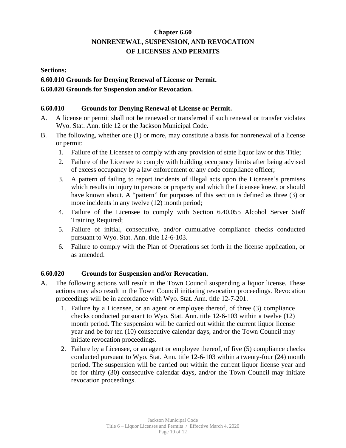# **Chapter 6.60 NONRENEWAL, SUSPENSION, AND REVOCATION OF LICENSES AND PERMITS**

**Sections:**

**6.60.010 Grounds for Denying Renewal of License or Permit. 6.60.020 Grounds for Suspension and/or Revocation.**

## **6.60.010 Grounds for Denying Renewal of License or Permit.**

- A. A license or permit shall not be renewed or transferred if such renewal or transfer violates Wyo. Stat. Ann. title 12 or the Jackson Municipal Code.
- B. The following, whether one (1) or more, may constitute a basis for nonrenewal of a license or permit:
	- 1. Failure of the Licensee to comply with any provision of state liquor law or this Title;
	- 2. Failure of the Licensee to comply with building occupancy limits after being advised of excess occupancy by a law enforcement or any code compliance officer;
	- 3. A pattern of failing to report incidents of illegal acts upon the Licensee's premises which results in injury to persons or property and which the Licensee knew, or should have known about. A "pattern" for purposes of this section is defined as three (3) or more incidents in any twelve (12) month period;
	- 4. Failure of the Licensee to comply with Section 6.40.055 Alcohol Server Staff Training Required;
	- 5. Failure of initial, consecutive, and/or cumulative compliance checks conducted pursuant to Wyo. Stat. Ann. title 12-6-103.
	- 6. Failure to comply with the Plan of Operations set forth in the license application, or as amended.

#### **6.60.020 Grounds for Suspension and/or Revocation.**

- A. The following actions will result in the Town Council suspending a liquor license. These actions may also result in the Town Council initiating revocation proceedings. Revocation proceedings will be in accordance with Wyo. Stat. Ann. title 12-7-201.
	- 1. Failure by a Licensee, or an agent or employee thereof, of three (3) compliance checks conducted pursuant to Wyo. Stat. Ann. title 12-6-103 within a twelve (12) month period. The suspension will be carried out within the current liquor license year and be for ten (10) consecutive calendar days, and/or the Town Council may initiate revocation proceedings.
	- 2. Failure by a Licensee, or an agent or employee thereof, of five (5) compliance checks conducted pursuant to Wyo. Stat. Ann. title 12-6-103 within a twenty-four (24) month period. The suspension will be carried out within the current liquor license year and be for thirty (30) consecutive calendar days, and/or the Town Council may initiate revocation proceedings.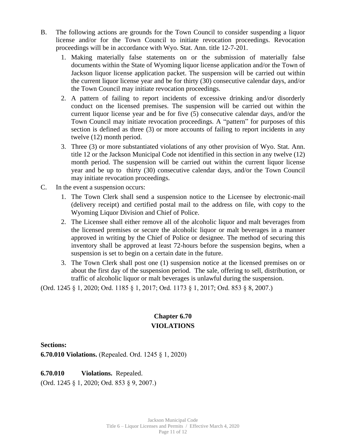- B. The following actions are grounds for the Town Council to consider suspending a liquor license and/or for the Town Council to initiate revocation proceedings. Revocation proceedings will be in accordance with Wyo. Stat. Ann. title 12-7-201.
	- 1. Making materially false statements on or the submission of materially false documents within the State of Wyoming liquor license application and/or the Town of Jackson liquor license application packet. The suspension will be carried out within the current liquor license year and be for thirty (30) consecutive calendar days, and/or the Town Council may initiate revocation proceedings.
	- 2. A pattern of failing to report incidents of excessive drinking and/or disorderly conduct on the licensed premises. The suspension will be carried out within the current liquor license year and be for five (5) consecutive calendar days, and/or the Town Council may initiate revocation proceedings. A "pattern" for purposes of this section is defined as three (3) or more accounts of failing to report incidents in any twelve (12) month period.
	- 3. Three (3) or more substantiated violations of any other provision of Wyo. Stat. Ann. title 12 or the Jackson Municipal Code not identified in this section in any twelve (12) month period. The suspension will be carried out within the current liquor license year and be up to thirty (30) consecutive calendar days, and/or the Town Council may initiate revocation proceedings.
- C. In the event a suspension occurs:
	- 1. The Town Clerk shall send a suspension notice to the Licensee by electronic-mail (delivery receipt) and certified postal mail to the address on file, with copy to the Wyoming Liquor Division and Chief of Police.
	- 2. The Licensee shall either remove all of the alcoholic liquor and malt beverages from the licensed premises or secure the alcoholic liquor or malt beverages in a manner approved in writing by the Chief of Police or designee. The method of securing this inventory shall be approved at least 72-hours before the suspension begins, when a suspension is set to begin on a certain date in the future.
	- 3. The Town Clerk shall post one (1) suspension notice at the licensed premises on or about the first day of the suspension period. The sale, offering to sell, distribution, or traffic of alcoholic liquor or malt beverages is unlawful during the suspension.

(Ord. 1245 § 1, 2020; Ord. 1185 § 1, 2017; Ord. 1173 § 1, 2017; Ord. 853 § 8, 2007.)

# **Chapter 6.70 VIOLATIONS**

**Sections:**

**6.70.010 Violations.** (Repealed. Ord. 1245 § 1, 2020)

## **6.70.010 Violations.** Repealed.

(Ord. 1245 § 1, 2020; Ord. 853 § 9, 2007.)